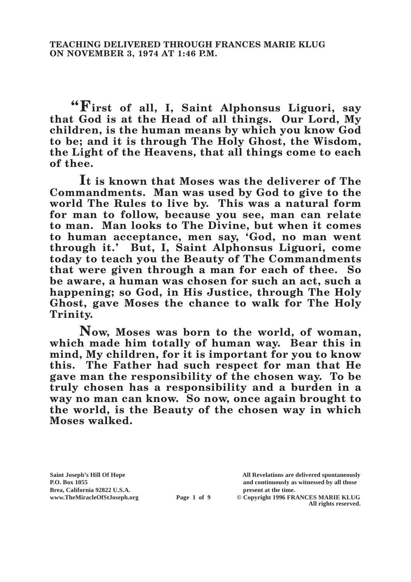**"First of all, I, Saint Alphonsus Liguori, say that God is at the Head of all things. Our Lord, My children, is the human means by which you know God to be; and it is through The Holy Ghost, the Wisdom, the Light of the Heavens, that all things come to each of thee.**

**It is known that Moses was the deliverer of The Commandments. Man was used by God to give to the world The Rules to live by. This was a natural form for man to follow, because you see, man can relate to man. Man looks to The Divine, but when it comes to human acceptance, men say, 'God, no man went through it.' But, I, Saint Alphonsus Liguori, come today to teach you the Beauty of The Commandments that were given through a man for each of thee. So be aware, a human was chosen for such an act, such a happening; so God, in His Justice, through The Holy Ghost, gave Moses the chance to walk for The Holy Trinity.**

**Now, Moses was born to the world, of woman, which made him totally of human way. Bear this in mind, My children, for it is important for you to know this. The Father had such respect for man that He gave man the responsibility of the chosen way. To be truly chosen has a responsibility and a burden in a way no man can know. So now, once again brought to the world, is the Beauty of the chosen way in which Moses walked.**

Brea, California 92822 U.S.A.<br>
www.TheMiracleOfStJoseph.org<br> **Page 1 of 9** © Copyright 1996 FR.

**Saint Joseph's Hill Of Hope All Revelations are delivered spontaneously P.O. Box 1055 and continuously as witnessed by all those** 

**Page 1 of 9** © Copyright 1996 FRANCES MARIE KLUG **All rights reserved.**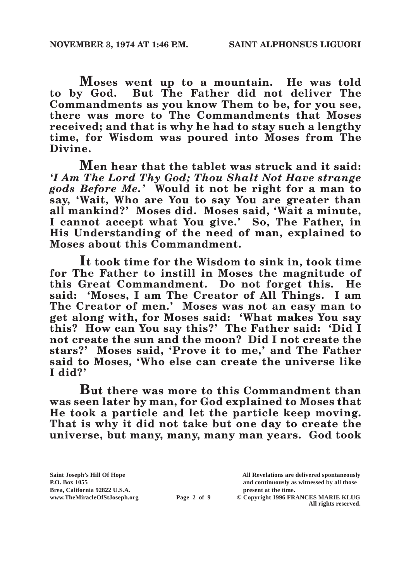**Moses went up to a mountain. He was told to by God. But The Father did not deliver The Commandments as you know Them to be, for you see, there was more to The Commandments that Moses received; and that is why he had to stay such a lengthy time, for Wisdom was poured into Moses from The Divine.**

**Men hear that the tablet was struck and it said:**  *'I Am The Lord Thy God; Thou Shalt Not Have strange gods Before Me.'* **Would it not be right for a man to say, 'Wait, Who are You to say You are greater than all mankind?' Moses did. Moses said, 'Wait a minute, I cannot accept what You give.' So, The Father, in His Understanding of the need of man, explained to Moses about this Commandment.**

**It took time for the Wisdom to sink in, took time for The Father to instill in Moses the magnitude of this Great Commandment. Do not forget this. He said: 'Moses, I am The Creator of All Things. I am The Creator of men.' Moses was not an easy man to get along with, for Moses said: 'What makes You say this? How can You say this?' The Father said: 'Did I not create the sun and the moon? Did I not create the stars?' Moses said, 'Prove it to me,' and The Father said to Moses, 'Who else can create the universe like I did?'**

**But there was more to this Commandment than was seen later by man, for God explained to Moses that He took a particle and let the particle keep moving.**  That is why it did not take but one day to create the **universe, but many, many, many man years. God took** 

Brea, California 92822 U.S.A.<br>
www.TheMiracleOfStJoseph.org<br> **Page 2 of 9** © Copyright 1996 FR.

**Saint Joseph's Hill Of Hope All Revelations are delivered spontaneously P.O. Box 1055 and continuously as witnessed by all those** 

**Page 2 of 9** © Copyright 1996 FRANCES MARIE KLUG **All rights reserved.**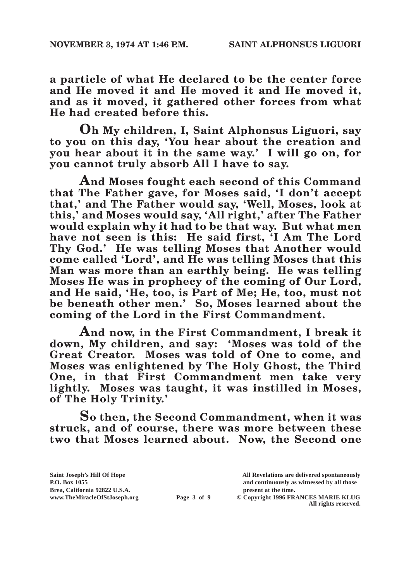**a particle of what He declared to be the center force and He moved it and He moved it and He moved it, and as it moved, it gathered other forces from what He had created before this.**

**Oh My children, I, Saint Alphonsus Liguori, say to you on this day, 'You hear about the creation and you hear about it in the same way.' I will go on, for you cannot truly absorb All I have to say.**

**And Moses fought each second of this Command that The Father gave, for Moses said, 'I don't accept that,' and The Father would say, 'Well, Moses, look at this,' and Moses would say, 'All right,' after The Father would explain why it had to be that way. But what men have not seen is this: He said first, 'I Am The Lord Thy God.' He was telling Moses that Another would come called 'Lord', and He was telling Moses that this Man was more than an earthly being. He was telling Moses He was in prophecy of the coming of Our Lord, and He said, 'He, too, is Part of Me; He, too, must not be beneath other men.' So, Moses learned about the coming of the Lord in the First Commandment.**

**And now, in the First Commandment, I break it down, My children, and say: 'Moses was told of the Great Creator. Moses was told of One to come, and Moses was enlightened by The Holy Ghost, the Third One, in that First Commandment men take very lightly. Moses was taught, it was instilled in Moses, of The Holy Trinity.'**

**So then, the Second Commandment, when it was struck, and of course, there was more between these two that Moses learned about. Now, the Second one** 

**Saint Joseph's Hill Of Hope All Revelations are delivered spontaneously** Brea, California 92822 U.S.A.<br>
www.TheMiracleOfStJoseph.org<br> **Page 3 of 9** © Copyright 1996 FR.

**P.O. Box 1055 and continuously as witnessed by all those Page 3 of 9** © Copyright 1996 FRANCES MARIE KLUG

**All rights reserved.**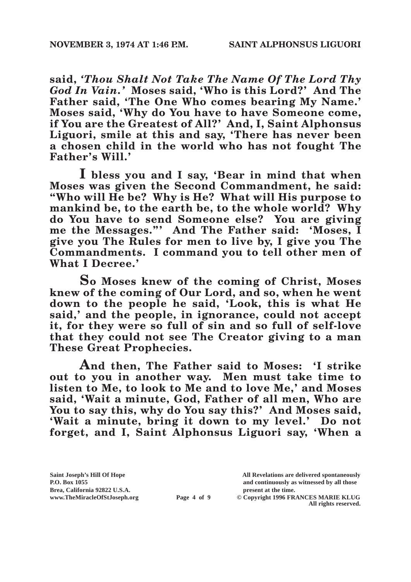**said,** *'Thou Shalt Not Take The Name Of The Lord Thy God In Vain.'* **Moses said, 'Who is this Lord?' And The**  Father said, 'The One Who comes bearing My Name.' **Moses said, 'Why do You have to have Someone come, if You are the Greatest of All?' And, I, Saint Alphonsus Liguori, smile at this and say, 'There has never been a chosen child in the world who has not fought The Father's Will.'**

**I bless you and I say, 'Bear in mind that when Moses was given the Second Commandment, he said: "Who will He be? Why is He? What will His purpose to mankind be, to the earth be, to the whole world? Why do You have to send Someone else? You are giving me the Messages."' And The Father said: 'Moses, I give you The Rules for men to live by, I give you The Commandments. I command you to tell other men of What I Decree.'**

**So Moses knew of the coming of Christ, Moses knew of the coming of Our Lord, and so, when he went down to the people he said, 'Look, this is what He said,' and the people, in ignorance, could not accept it, for they were so full of sin and so full of self-love that they could not see The Creator giving to a man These Great Prophecies.**

**And then, The Father said to Moses: 'I strike out to you in another way. Men must take time to listen to Me, to look to Me and to love Me,' and Moses said, 'Wait a minute, God, Father of all men, Who are You to say this, why do You say this?' And Moses said, 'Wait a minute, bring it down to my level.' Do not forget, and I, Saint Alphonsus Liguori say, 'When a** 

**Saint Joseph's Hill Of Hope All Revelations are delivered spontaneously** Brea, California 92822 U.S.A.<br>
www.TheMiracleOfStJoseph.org<br> **Page 4 of 9** © Copyright 1996 FR.

**P.O. Box 1055 and continuously as witnessed by all those**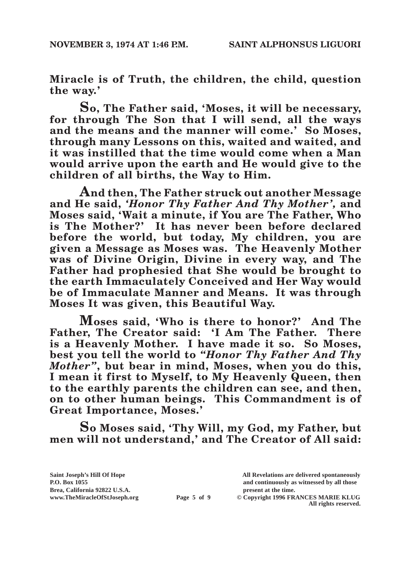**Miracle is of Truth, the children, the child, question the way.'**

**So, The Father said, 'Moses, it will be necessary, for through The Son that I will send, all the ways and the means and the manner will come.' So Moses, through many Lessons on this, waited and waited, and it was instilled that the time would come when a Man would arrive upon the earth and He would give to the children of all births, the Way to Him.**

**And then, The Father struck out another Message and He said,** *'Honor Thy Father And Thy Mother',* **and Moses said, 'Wait a minute, if You are The Father, Who is The Mother?' It has never been before declared before the world, but today, My children, you are given a Message as Moses was. The Heavenly Mother was of Divine Origin, Divine in every way, and The Father had prophesied that She would be brought to the earth Immaculately Conceived and Her Way would be of Immaculate Manner and Means. It was through Moses It was given, this Beautiful Way.**

**Moses said, 'Who is there to honor?' And The Father, The Creator said: 'I Am The Father. There is a Heavenly Mother. I have made it so. So Moses, best you tell the world to** *"Honor Thy Father And Thy Mother"***, but bear in mind, Moses, when you do this, I mean it first to Myself, to My Heavenly Queen, then to the earthly parents the children can see, and then, on to other human beings. This Commandment is of Great Importance, Moses.'**

**So Moses said, 'Thy Will, my God, my Father, but men will not understand,' and The Creator of All said:** 

Brea, California 92822 U.S.A.<br>
www.TheMiracleOfStJoseph.org<br> **Page 5 of 9** © Copyright 1996 FR.

**Saint Joseph's Hill Of Hope All Revelations are delivered spontaneously P.O. Box 1055 and continuously as witnessed by all those** 

**Page 5 of 9** © Copyright 1996 FRANCES MARIE KLUG **All rights reserved.**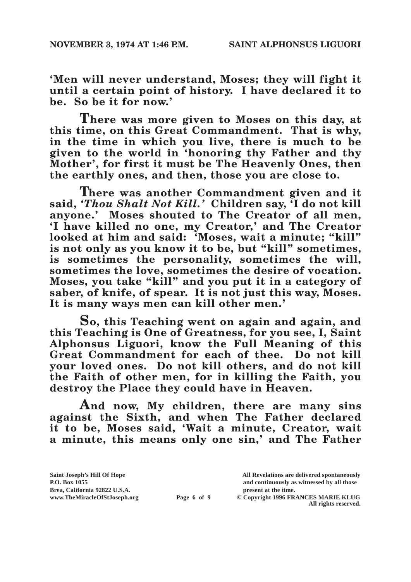**'Men will never understand, Moses; they will fight it until a certain point of history. I have declared it to be. So be it for now.'**

**There was more given to Moses on this day, at this time, on this Great Commandment. That is why, in the time in which you live, there is much to be given to the world in 'honoring thy Father and thy Mother', for first it must be The Heavenly Ones, then the earthly ones, and then, those you are close to.**

**There was another Commandment given and it said,** *'Thou Shalt Not Kill.'* **Children say, 'I do not kill anyone.' Moses shouted to The Creator of all men, 'I have killed no one, my Creator,' and The Creator looked at him and said: 'Moses, wait a minute; "kill" is not only as you know it to be, but "kill" sometimes, is sometimes the personality, sometimes the will, sometimes the love, sometimes the desire of vocation. Moses, you take "kill" and you put it in a category of saber, of knife, of spear. It is not just this way, Moses. It is many ways men can kill other men.'**

**So, this Teaching went on again and again, and this Teaching is One of Greatness, for you see, I, Saint Alphonsus Liguori, know the Full Meaning of this Great Commandment for each of thee. Do not kill your loved ones. Do not kill others, and do not kill the Faith of other men, for in killing the Faith, you destroy the Place they could have in Heaven.**

**And now, My children, there are many sins against the Sixth, and when The Father declared it to be, Moses said, 'Wait a minute, Creator, wait a minute, this means only one sin,' and The Father** 

**Saint Joseph's Hill Of Hope All Revelations are delivered spontaneously P.O. Box 1055 and continuously as witnessed by all those**  Brea, California 92822 U.S.A.<br>
www.TheMiracleOfStJoseph.org<br> **Page 6 of 9** © Copyright 1996 FR. **Page 6 of 9** © Copyright 1996 FRANCES MARIE KLUG **All rights reserved.**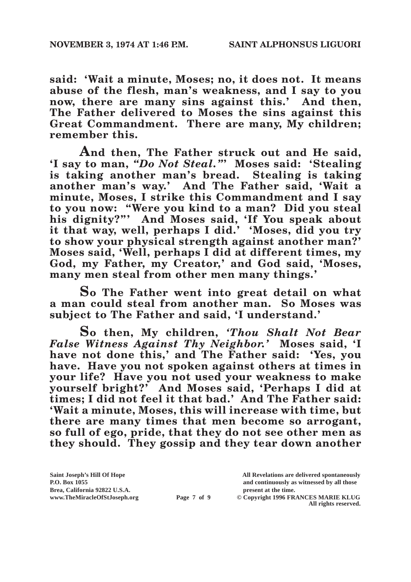**said: 'Wait a minute, Moses; no, it does not. It means abuse of the flesh, man's weakness, and I say to you now, there are many sins against this.' And then, The Father delivered to Moses the sins against this Great Commandment. There are many, My children; remember this.**

**And then, The Father struck out and He said, 'I say to man,** *"Do Not Steal."***' Moses said: 'Stealing is taking another man's bread. Stealing is taking another man's way.' And The Father said, 'Wait a minute, Moses, I strike this Commandment and I say to you now: "Were you kind to a man? Did you steal his dignity?"' And Moses said, 'If You speak about it that way, well, perhaps I did.' 'Moses, did you try to show your physical strength against another man?' Moses said, 'Well, perhaps I did at different times, my God, my Father, my Creator,' and God said, 'Moses, many men steal from other men many things.'**

**So The Father went into great detail on what a man could steal from another man. So Moses was subject to The Father and said, 'I understand.'**

**So then, My children,** *'Thou Shalt Not Bear False Witness Against Thy Neighbor.'* **Moses said, 'I have not done this,' and The Father said: 'Yes, you have. Have you not spoken against others at times in your life? Have you not used your weakness to make yourself bright?' And Moses said, 'Perhaps I did at times; I did not feel it that bad.' And The Father said: 'Wait a minute, Moses, this will increase with time, but there are many times that men become so arrogant, so full of ego, pride, that they do not see other men as they should. They gossip and they tear down another** 

**Saint Joseph's Hill Of Hope All Revelations are delivered spontaneously** Brea, California 92822 U.S.A.<br>
www.TheMiracleOfStJoseph.org<br> **Page 7 of 9** © Copyright 1996 FR.

**P.O. Box 1055 and continuously as witnessed by all those**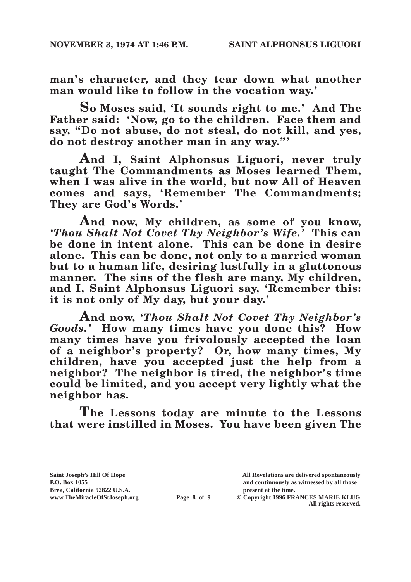**man's character, and they tear down what another man would like to follow in the vocation way.'**

**So Moses said, 'It sounds right to me.' And The Father said: 'Now, go to the children. Face them and say, "Do not abuse, do not steal, do not kill, and yes, do not destroy another man in any way."'**

**And I, Saint Alphonsus Liguori, never truly taught The Commandments as Moses learned Them, when I was alive in the world, but now All of Heaven comes and says, 'Remember The Commandments; They are God's Words.'**

**And now, My children, as some of you know,**  *'Thou Shalt Not Covet Thy Neighbor's Wife.'* **This can be done in intent alone. This can be done in desire alone. This can be done, not only to a married woman but to a human life, desiring lustfully in a gluttonous manner. The sins of the flesh are many, My children, and I, Saint Alphonsus Liguori say, 'Remember this: it is not only of My day, but your day.'**

**And now,** *'Thou Shalt Not Covet Thy Neighbor's Goods.'* **How many times have you done this? How many times have you frivolously accepted the loan of a neighbor's property? Or, how many times, My children, have you accepted just the help from a neighbor? The neighbor is tired, the neighbor's time could be limited, and you accept very lightly what the neighbor has.**

**The Lessons today are minute to the Lessons that were instilled in Moses. You have been given The** 

Brea, California 92822 U.S.A.<br>
www.TheMiracleOfStJoseph.org<br> **Page 8 of 9** © Copyright 1996 FR.

**Saint Joseph's Hill Of Hope All Revelations are delivered spontaneously P.O. Box 1055 and continuously as witnessed by all those**